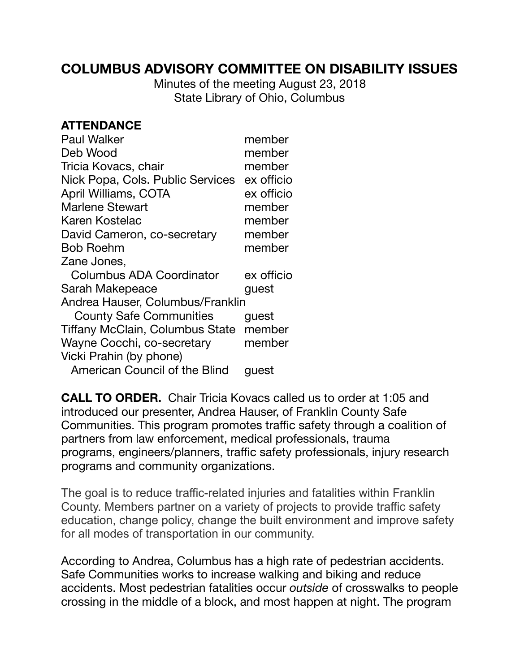## **COLUMBUS ADVISORY COMMITTEE ON DISABILITY ISSUES**

Minutes of the meeting August 23, 2018 State Library of Ohio, Columbus

## **ATTENDANCE**

| <b>Paul Walker</b>                          | member     |
|---------------------------------------------|------------|
| Deb Wood                                    | member     |
| Tricia Kovacs, chair                        | member     |
| Nick Popa, Cols. Public Services ex officio |            |
| April Williams, COTA                        | ex officio |
| <b>Marlene Stewart</b>                      | member     |
| Karen Kostelac                              | member     |
| David Cameron, co-secretary                 | member     |
| <b>Bob Roehm</b>                            | member     |
| Zane Jones,                                 |            |
| Columbus ADA Coordinator                    | ex officio |
| Sarah Makepeace                             | guest      |
| Andrea Hauser, Columbus/Franklin            |            |
| <b>County Safe Communities</b>              | guest      |
| Tiffany McClain, Columbus State             | member     |
| Wayne Cocchi, co-secretary                  | member     |
| Vicki Prahin (by phone)                     |            |
| American Council of the Blind               | quest      |

**CALL TO ORDER.** Chair Tricia Kovacs called us to order at 1:05 and introduced our presenter, Andrea Hauser, of Franklin County Safe Communities. This program promotes traffic safety through a coalition of partners from law enforcement, medical professionals, trauma programs, engineers/planners, traffic safety professionals, injury research programs and community organizations.

The goal is to reduce traffic-related injuries and fatalities within Franklin County. Members partner on a variety of projects to provide traffic safety education, change policy, change the built environment and improve safety for all modes of transportation in our community.

According to Andrea, Columbus has a high rate of pedestrian accidents. Safe Communities works to increase walking and biking and reduce accidents. Most pedestrian fatalities occur *outside* of crosswalks to people crossing in the middle of a block, and most happen at night. The program